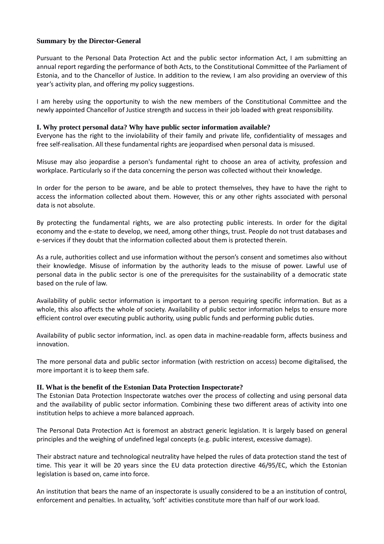# **Summary by the Director-General**

Pursuant to the Personal Data Protection Act and the public sector information Act, I am submitting an annual report regarding the performance of both Acts, to the Constitutional Committee of the Parliament of Estonia, and to the Chancellor of Justice. In addition to the review, I am also providing an overview of this year's activity plan, and offering my policy suggestions.

I am hereby using the opportunity to wish the new members of the Constitutional Committee and the newly appointed Chancellor of Justice strength and success in their job loaded with great responsibility.

# **I. Why protect personal data? Why have public sector information available?**

Everyone has the right to the inviolability of their family and private life, confidentiality of messages and free self-realisation. All these fundamental rights are jeopardised when personal data is misused.

Misuse may also jeopardise a person's fundamental right to choose an area of activity, profession and workplace. Particularly so if the data concerning the person was collected without their knowledge.

In order for the person to be aware, and be able to protect themselves, they have to have the right to access the information collected about them. However, this or any other rights associated with personal data is not absolute.

By protecting the fundamental rights, we are also protecting public interests. In order for the digital economy and the e-state to develop, we need, among other things, trust. People do not trust databases and e-services if they doubt that the information collected about them is protected therein.

As a rule, authorities collect and use information without the person's consent and sometimes also without their knowledge. Misuse of information by the authority leads to the misuse of power. Lawful use of personal data in the public sector is one of the prerequisites for the sustainability of a democratic state based on the rule of law.

Availability of public sector information is important to a person requiring specific information. But as a whole, this also affects the whole of society. Availability of public sector information helps to ensure more efficient control over executing public authority, using public funds and performing public duties.

Availability of public sector information, incl. as open data in machine-readable form, affects business and innovation.

The more personal data and public sector information (with restriction on access) become digitalised, the more important it is to keep them safe.

### **II. What is the benefit of the Estonian Data Protection Inspectorate?**

The Estonian Data Protection Inspectorate watches over the process of collecting and using personal data and the availability of public sector information. Combining these two different areas of activity into one institution helps to achieve a more balanced approach.

The Personal Data Protection Act is foremost an abstract generic legislation. It is largely based on general principles and the weighing of undefined legal concepts (e.g. public interest, excessive damage).

Their abstract nature and technological neutrality have helped the rules of data protection stand the test of time. This year it will be 20 years since the EU data protection directive 46/95/EC, which the Estonian legislation is based on, came into force.

An institution that bears the name of an inspectorate is usually considered to be a an institution of control, enforcement and penalties. In actuality, 'soft' activities constitute more than half of our work load.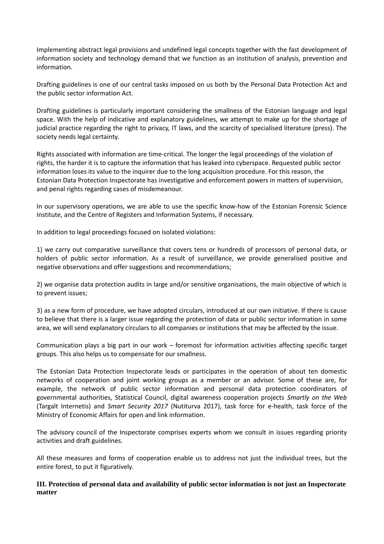Implementing abstract legal provisions and undefined legal concepts together with the fast development of information society and technology demand that we function as an institution of analysis, prevention and information.

Drafting guidelines is one of our central tasks imposed on us both by the Personal Data Protection Act and the public sector information Act.

Drafting guidelines is particularly important considering the smallness of the Estonian language and legal space. With the help of indicative and explanatory guidelines, we attempt to make up for the shortage of judicial practice regarding the right to privacy, IT laws, and the scarcity of specialised literature (press). The society needs legal certainty.

Rights associated with information are time-critical. The longer the legal proceedings of the violation of rights, the harder it is to capture the information that has leaked into cyberspace. Requested public sector information loses its value to the inquirer due to the long acquisition procedure. For this reason, the Estonian Data Protection Inspectorate has investigative and enforcement powers in matters of supervision, and penal rights regarding cases of misdemeanour.

In our supervisory operations, we are able to use the specific know-how of the Estonian Forensic Science Institute, and the Centre of Registers and Information Systems, if necessary.

In addition to legal proceedings focused on isolated violations:

1) we carry out comparative surveillance that covers tens or hundreds of processors of personal data, or holders of public sector information. As a result of surveillance, we provide generalised positive and negative observations and offer suggestions and recommendations;

2) we organise data protection audits in large and/or sensitive organisations, the main objective of which is to prevent issues;

3) as a new form of procedure, we have adopted circulars, introduced at our own initiative. If there is cause to believe that there is a larger issue regarding the protection of data or public sector information in some area, we will send explanatory circulars to all companies or institutions that may be affected by the issue.

Communication plays a big part in our work – foremost for information activities affecting specific target groups. This also helps us to compensate for our smallness.

The Estonian Data Protection Inspectorate leads or participates in the operation of about ten domestic networks of cooperation and joint working groups as a member or an advisor. Some of these are, for example, the network of public sector information and personal data protection coordinators of governmental authorities, Statistical Council, digital awareness cooperation projects *Smartly on the Web* (Targalt Internetis) and *Smart Security 2017* (Nutiturva 2017), task force for e-health, task force of the Ministry of Economic Affairs for open and link information.

The advisory council of the Inspectorate comprises experts whom we consult in issues regarding priority activities and draft guidelines.

All these measures and forms of cooperation enable us to address not just the individual trees, but the entire forest, to put it figuratively.

### **III. Protection of personal data and availability of public sector information is not just an Inspectorate matter**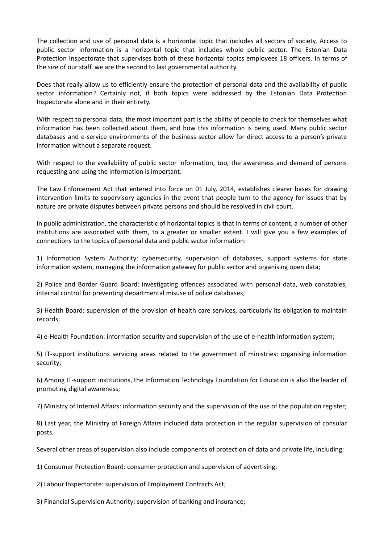The collection and use of personal data is a horizontal topic that includes all sectors of society. Access to public sector information is a horizontal topic that includes whole public sector. The Estonian Data Protection Inspectorate that supervises both of these horizontal topics employees 18 officers. In terms of the size of our staff, we are the second to last governmental authority.

Does that really allow us to efficiently ensure the protection of personal data and the availability of public sector information? Certainly not, if both topics were addressed by the Estonian Data Protection Inspectorate alone and in their entirety.

With respect to personal data, the most important part is the ability of people to check for themselves what information has been collected about them, and how this information is being used. Many public sector databases and e-service environments of the business sector allow for direct access to a person's private information without a separate request.

With respect to the availability of public sector information, too, the awareness and demand of persons requesting and using the information is important.

The Law Enforcement Act that entered into force on 01 July, 2014, establishes clearer bases for drawing intervention limits to supervisory agencies in the event that people turn to the agency for issues that by nature are private disputes between private persons and should be resolved in civil court.

In public administration, the characteristic of horizontal topics is that in terms of content, a number of other institutions are associated with them, to a greater or smaller extent. I will give you a few examples of connections to the topics of personal data and public sector information:

1) Information System Authority: cybersecurity, supervision of databases, support systems for state information system, managing the information gateway for public sector and organising open data;

2) Police and Border Guard Board: investigating offences associated with personal data, web constables, internal control for preventing departmental misuse of police databases;

3) Health Board: supervision of the provision of health care services, particularly its obligation to maintain records;

4) e-Health Foundation: information security and supervision of the use of e-health information system;

5) IT-support institutions servicing areas related to the government of ministries: organising information security;

6) Among IT-support institutions, the Information Technology Foundation for Education is also the leader of promoting digital awareness;

7) Ministry of Internal Affairs: information security and the supervision of the use of the population register;

8) Last year, the Ministry of Foreign Affairs included data protection in the regular supervision of consular posts.

Several other areas of supervision also include components of protection of data and private life, including:

1) Consumer Protection Board: consumer protection and supervision of advertising;

2) Labour Inspectorate: supervision of Employment Contracts Act;

3) Financial Supervision Authority: supervision of banking and insurance;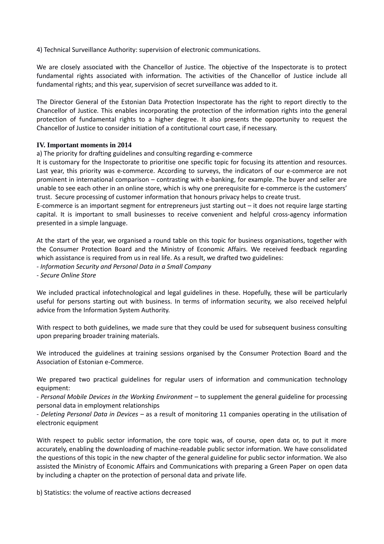4) Technical Surveillance Authority: supervision of electronic communications.

We are closely associated with the Chancellor of Justice. The objective of the Inspectorate is to protect fundamental rights associated with information. The activities of the Chancellor of Justice include all fundamental rights; and this year, supervision of secret surveillance was added to it.

The Director General of the Estonian Data Protection Inspectorate has the right to report directly to the Chancellor of Justice. This enables incorporating the protection of the information rights into the general protection of fundamental rights to a higher degree. It also presents the opportunity to request the Chancellor of Justice to consider initiation of a contitutional court case, if necessary.

### **IV. Important moments in 2014**

a) The priority for drafting guidelines and consulting regarding e-commerce

It is customary for the Inspectorate to prioritise one specific topic for focusing its attention and resources. Last year, this priority was e-commerce. According to surveys, the indicators of our e-commerce are not prominent in international comparison – contrasting with e-banking, for example. The buyer and seller are unable to see each other in an online store, which is why one prerequisite for e-commerce is the customers' trust. Secure processing of customer information that honours privacy helps to create trust.

E-commerce is an important segment for entrepreneurs just starting out – it does not require large starting capital. It is important to small businesses to receive convenient and helpful cross-agency information presented in a simple language.

At the start of the year, we organised a round table on this topic for business organisations, together with the Consumer Protection Board and the Ministry of Economic Affairs. We received feedback regarding which assistance is required from us in real life. As a result, we drafted two guidelines:

- *Information Security and Personal Data in a Small Company*

- *Secure Online Store*

We included practical infotechnological and legal guidelines in these. Hopefully, these will be particularly useful for persons starting out with business. In terms of information security, we also received helpful advice from the Information System Authority.

With respect to both guidelines, we made sure that they could be used for subsequent business consulting upon preparing broader training materials.

We introduced the guidelines at training sessions organised by the Consumer Protection Board and the Association of Estonian e-Commerce.

We prepared two practical guidelines for regular users of information and communication technology equipment:

- *Personal Mobile Devices in the Working Environment* – to supplement the general guideline for processing personal data in employment relationships

- *Deleting Personal Data in Devices* – as a result of monitoring 11 companies operating in the utilisation of electronic equipment

With respect to public sector information, the core topic was, of course, open data or, to put it more accurately, enabling the downloading of machine-readable public sector information. We have consolidated the questions of this topic in the new chapter of the general guideline for public sector information. We also assisted the Ministry of Economic Affairs and Communications with preparing a Green Paper on open data by including a chapter on the protection of personal data and private life.

b) Statistics: the volume of reactive actions decreased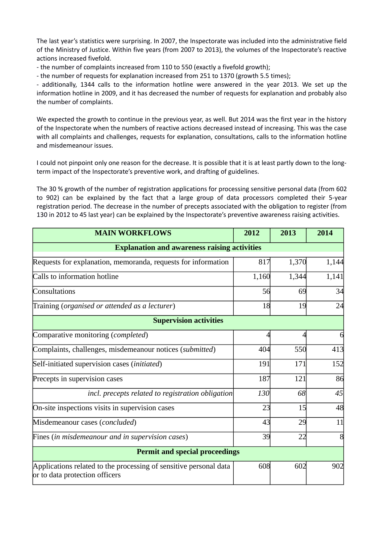The last year's statistics were surprising. In 2007, the Inspectorate was included into the administrative field of the Ministry of Justice. Within five years (from 2007 to 2013), the volumes of the Inspectorate's reactive actions increased fivefold.

- the number of complaints increased from 110 to 550 (exactly a fivefold growth);

- the number of requests for explanation increased from 251 to 1370 (growth 5.5 times);

- additionally, 1344 calls to the information hotline were answered in the year 2013. We set up the information hotline in 2009, and it has decreased the number of requests for explanation and probably also the number of complaints.

We expected the growth to continue in the previous year, as well. But 2014 was the first year in the history of the Inspectorate when the numbers of reactive actions decreased instead of increasing. This was the case with all complaints and challenges, requests for explanation, consultations, calls to the information hotline and misdemeanour issues.

I could not pinpoint only one reason for the decrease. It is possible that it is at least partly down to the longterm impact of the Inspectorate's preventive work, and drafting of guidelines.

The 30 % growth of the number of registration applications for processing sensitive personal data (from 602 to 902) can be explained by the fact that a large group of data processors completed their 5-year registration period. The decrease in the number of precepts associated with the obligation to register (from 130 in 2012 to 45 last year) can be explained by the Inspectorate's preventive awareness raising activities.

| <b>MAIN WORKFLOWS</b>                                                                               | 2012  | 2013  | 2014  |  |
|-----------------------------------------------------------------------------------------------------|-------|-------|-------|--|
| <b>Explanation and awareness raising activities</b>                                                 |       |       |       |  |
| Requests for explanation, memoranda, requests for information                                       | 817   | 1,370 | 1,144 |  |
| Calls to information hotline                                                                        | 1,160 | 1,344 | 1,141 |  |
| Consultations                                                                                       | 56    | 69    | 34    |  |
| Training (organised or attended as a lecturer)                                                      | 18    | 19    | 24    |  |
| <b>Supervision activities</b>                                                                       |       |       |       |  |
| Comparative monitoring (completed)                                                                  |       |       | 6     |  |
| Complaints, challenges, misdemeanour notices (submitted)                                            | 404   | 550   | 413   |  |
| Self-initiated supervision cases (initiated)                                                        | 191   | 171   | 152   |  |
| Precepts in supervision cases                                                                       | 187   | 121   | 86    |  |
| incl. precepts related to registration obligation                                                   | 130   | 68    | 45    |  |
| On-site inspections visits in supervision cases                                                     | 23    | 15    | 48    |  |
| Misdemeanour cases (concluded)                                                                      | 43    | 29    | 11    |  |
| Fines (in misdemeanour and in supervision cases)                                                    | 39    | 22    | 8     |  |
| <b>Permit and special proceedings</b>                                                               |       |       |       |  |
| Applications related to the processing of sensitive personal data<br>or to data protection officers | 608   | 602   | 902   |  |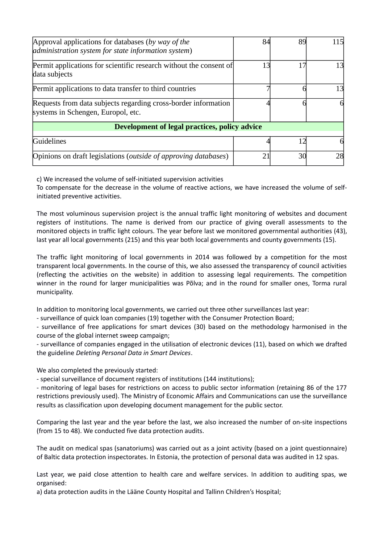| Approval applications for databases (by way of the<br>administration system for state information system) | 84 | 89 | 115 |
|-----------------------------------------------------------------------------------------------------------|----|----|-----|
| Permit applications for scientific research without the consent of<br>data subjects                       | 13 | 17 | 13  |
| Permit applications to data transfer to third countries                                                   |    |    | 13  |
| Requests from data subjects regarding cross-border information<br>systems in Schengen, Europol, etc.      |    |    |     |
| Development of legal practices, policy advice                                                             |    |    |     |
| Guidelines                                                                                                |    |    | 61  |
| Opinions on draft legislations (outside of approving databases)                                           | 21 | 30 | 28  |

c) We increased the volume of self-initiated supervision activities

To compensate for the decrease in the volume of reactive actions, we have increased the volume of selfinitiated preventive activities.

The most voluminous supervision project is the annual traffic light monitoring of websites and document registers of institutions. The name is derived from our practice of giving overall assessments to the monitored objects in traffic light colours. The year before last we monitored governmental authorities (43), last year all local governments (215) and this year both local governments and county governments (15).

The traffic light monitoring of local governments in 2014 was followed by a competition for the most transparent local governments. In the course of this, we also assessed the transparency of council activities (reflecting the activities on the website) in addition to assessing legal requirements. The competition winner in the round for larger municipalities was Põlva; and in the round for smaller ones, Torma rural municipality.

In addition to monitoring local governments, we carried out three other surveillances last year:

- surveillance of quick loan companies (19) together with the Consumer Protection Board;

- surveillance of free applications for smart devices (30) based on the methodology harmonised in the course of the global internet sweep campaign;

- surveillance of companies engaged in the utilisation of electronic devices (11), based on which we drafted the guideline *Deleting Personal Data in Smart Devices*.

We also completed the previously started:

- special surveillance of document registers of institutions (144 institutions);

- monitoring of legal bases for restrictions on access to public sector information (retaining 86 of the 177 restrictions previously used). The Ministry of Economic Affairs and Communications can use the surveillance results as classification upon developing document management for the public sector.

Comparing the last year and the year before the last, we also increased the number of on-site inspections (from 15 to 48). We conducted five data protection audits.

The audit on medical spas (sanatoriums) was carried out as a joint activity (based on a joint questionnaire) of Baltic data protection inspectorates. In Estonia, the protection of personal data was audited in 12 spas.

Last year, we paid close attention to health care and welfare services. In addition to auditing spas, we organised:

a) data protection audits in the Lääne County Hospital and Tallinn Children's Hospital;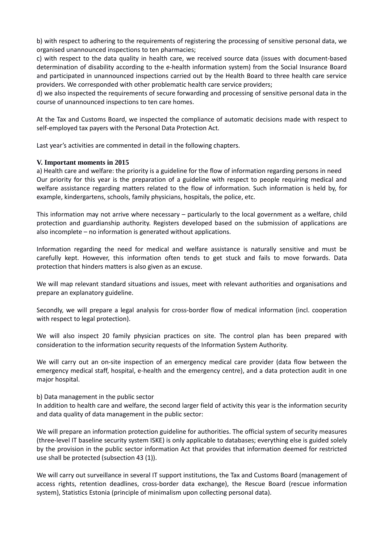b) with respect to adhering to the requirements of registering the processing of sensitive personal data, we organised unannounced inspections to ten pharmacies;

c) with respect to the data quality in health care, we received source data (issues with document-based determination of disability according to the e-health information system) from the Social Insurance Board and participated in unannounced inspections carried out by the Health Board to three health care service providers. We corresponded with other problematic health care service providers;

d) we also inspected the requirements of secure forwarding and processing of sensitive personal data in the course of unannounced inspections to ten care homes.

At the Tax and Customs Board, we inspected the compliance of automatic decisions made with respect to self-employed tax payers with the Personal Data Protection Act.

Last year's activities are commented in detail in the following chapters.

#### **V. Important moments in 2015**

a) Health care and welfare: the priority is a guideline for the flow of information regarding persons in need Our priority for this year is the preparation of a guideline with respect to people requiring medical and welfare assistance regarding matters related to the flow of information. Such information is held by, for example, kindergartens, schools, family physicians, hospitals, the police, etc.

This information may not arrive where necessary – particularly to the local government as a welfare, child protection and guardianship authority. Registers developed based on the submission of applications are also incomplete – no information is generated without applications.

Information regarding the need for medical and welfare assistance is naturally sensitive and must be carefully kept. However, this information often tends to get stuck and fails to move forwards. Data protection that hinders matters is also given as an excuse.

We will map relevant standard situations and issues, meet with relevant authorities and organisations and prepare an explanatory guideline.

Secondly, we will prepare a legal analysis for cross-border flow of medical information (incl. cooperation with respect to legal protection).

We will also inspect 20 family physician practices on site. The control plan has been prepared with consideration to the information security requests of the Information System Authority.

We will carry out an on-site inspection of an emergency medical care provider (data flow between the emergency medical staff, hospital, e-health and the emergency centre), and a data protection audit in one major hospital.

b) Data management in the public sector

In addition to health care and welfare, the second larger field of activity this year is the information security and data quality of data management in the public sector:

We will prepare an information protection guideline for authorities. The official system of security measures (three-level IT baseline security system ISKE) is only applicable to databases; everything else is guided solely by the provision in the public sector information Act that provides that information deemed for restricted use shall be protected (subsection 43 (1)).

We will carry out surveillance in several IT support institutions, the Tax and Customs Board (management of access rights, retention deadlines, cross-border data exchange), the Rescue Board (rescue information system), Statistics Estonia (principle of minimalism upon collecting personal data).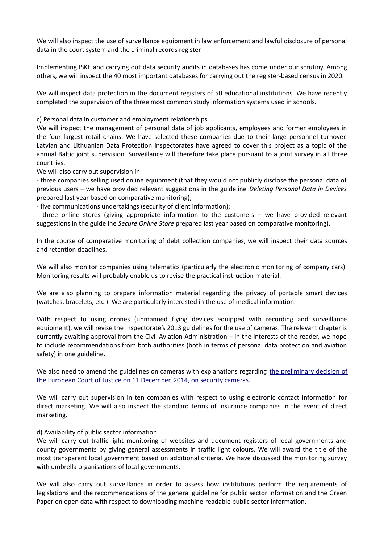We will also inspect the use of surveillance equipment in law enforcement and lawful disclosure of personal data in the court system and the criminal records register.

Implementing ISKE and carrying out data security audits in databases has come under our scrutiny. Among others, we will inspect the 40 most important databases for carrying out the register-based census in 2020.

We will inspect data protection in the document registers of 50 educational institutions. We have recently completed the supervision of the three most common study information systems used in schools.

c) Personal data in customer and employment relationships

We will inspect the management of personal data of job applicants, employees and former employees in the four largest retail chains. We have selected these companies due to their large personnel turnover. Latvian and Lithuanian Data Protection inspectorates have agreed to cover this project as a topic of the annual Baltic joint supervision. Surveillance will therefore take place pursuant to a joint survey in all three countries.

We will also carry out supervision in:

- three companies selling used online equipment (that they would not publicly disclose the personal data of previous users – we have provided relevant suggestions in the guideline *Deleting Personal Data in Devices* prepared last year based on comparative monitoring);

- five communications undertakings (security of client information);

- three online stores (giving appropriate information to the customers – we have provided relevant suggestions in the guideline *Secure Online Store* prepared last year based on comparative monitoring).

In the course of comparative monitoring of debt collection companies, we will inspect their data sources and retention deadlines.

We will also monitor companies using telematics (particularly the electronic monitoring of company cars). Monitoring results will probably enable us to revise the practical instruction material.

We are also planning to prepare information material regarding the privacy of portable smart devices (watches, bracelets, etc.). We are particularly interested in the use of medical information.

With respect to using drones (unmanned flying devices equipped with recording and surveillance equipment), we will revise the Inspectorate's 2013 guidelines for the use of cameras. The relevant chapter is currently awaiting approval from the Civil Aviation Administration – in the interests of the reader, we hope to include recommendations from both authorities (both in terms of personal data protection and aviation safety) in one guideline.

We also need to amend the guidelines on cameras with explanations regarding [the preliminary decision of](http://curia.europa.eu/juris/document/document.jsf?doclang=EN&text=&pageIndex=0&part=1&mode=DOC&docid=160561&occ=first&dir=&cid=381434) [the European Court of Justice on 11 December, 2014, on security cameras.](http://curia.europa.eu/juris/document/document.jsf?doclang=EN&text=&pageIndex=0&part=1&mode=DOC&docid=160561&occ=first&dir=&cid=381434)

We will carry out supervision in ten companies with respect to using electronic contact information for direct marketing. We will also inspect the standard terms of insurance companies in the event of direct marketing.

#### d) Availability of public sector information

We will carry out traffic light monitoring of websites and document registers of local governments and county governments by giving general assessments in traffic light colours. We will award the title of the most transparent local government based on additional criteria. We have discussed the monitoring survey with umbrella organisations of local governments.

We will also carry out surveillance in order to assess how institutions perform the requirements of legislations and the recommendations of the general guideline for public sector information and the Green Paper on open data with respect to downloading machine-readable public sector information.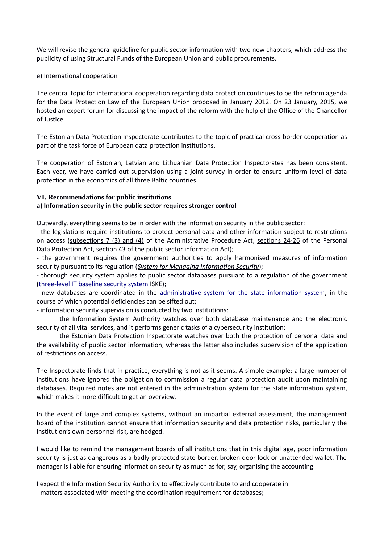We will revise the general guideline for public sector information with two new chapters, which address the publicity of using Structural Funds of the European Union and public procurements.

### e) International cooperation

The central topic for international cooperation regarding data protection continues to be the reform agenda for the Data Protection Law of the European Union proposed in January 2012. On 23 January, 2015, we hosted an expert forum for discussing the impact of the reform with the help of the Office of the Chancellor of Justice.

The Estonian Data Protection Inspectorate contributes to the topic of practical cross-border cooperation as part of the task force of European data protection institutions.

The cooperation of Estonian, Latvian and Lithuanian Data Protection Inspectorates has been consistent. Each year, we have carried out supervision using a joint survey in order to ensure uniform level of data protection in the economics of all three Baltic countries.

#### **VI. Recommendations for public institutions**

# **a) Information security in the public sector requires stronger control**

Outwardly, everything seems to be in order with the information security in the public sector:

<span id="page-8-2"></span><span id="page-8-1"></span>- the legislations require institutions to protect personal data and other information subject to restrictions on access [\(subsections 7 \(3\) and \(4\)](#page-8-2) of the Administrative Procedure Act, [sections 24-26](#page-8-1) of the Personal Data Protection Act, [section 43](#page-8-0) of the public sector information Act);

<span id="page-8-0"></span>- the government requires the government authorities to apply harmonised measures of information security pursuant to its regulation (*[System for Managing Information Security](https://www.riigiteataja.ee/akt/119032012004)*);

- thorough security system applies to public sector databases pursuant to a regulation of the government (three-level IT baseline security system ISKE);

- new databases are coordinated in the [administrative system for the state information system,](https://www.ria.ee/riha/) in the course of which potential deficiencies can be sifted out;

- information security supervision is conducted by two institutions:

the Information System Authority watches over both database maintenance and the electronic security of all vital services, and it performs generic tasks of a cybersecurity institution;

the Estonian Data Protection Inspectorate watches over both the protection of personal data and the availability of public sector information, whereas the latter also includes supervision of the application of restrictions on access.

The Inspectorate finds that in practice, everything is not as it seems. A simple example: a large number of institutions have ignored the obligation to commission a regular data protection audit upon maintaining databases. Required notes are not entered in the administration system for the state information system, which makes it more difficult to get an overview.

In the event of large and complex systems, without an impartial external assessment, the management board of the institution cannot ensure that information security and data protection risks, particularly the institution's own personnel risk, are hedged.

I would like to remind the management boards of all institutions that in this digital age, poor information security is just as dangerous as a badly protected state border, broken door lock or unattended wallet. The manager is liable for ensuring information security as much as for, say, organising the accounting.

I expect the Information Security Authority to effectively contribute to and cooperate in:

- matters associated with meeting the coordination requirement for databases;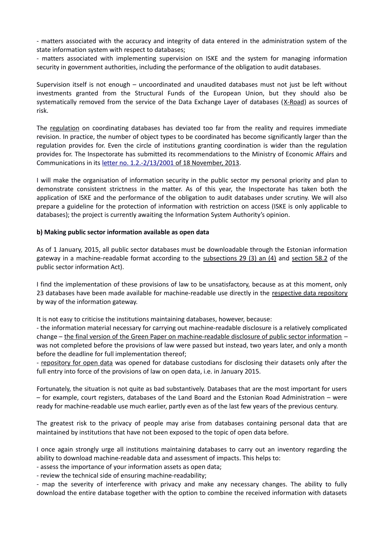- matters associated with the accuracy and integrity of data entered in the administration system of the state information system with respect to databases;

- matters associated with implementing supervision on ISKE and the system for managing information security in government authorities, including the performance of the obligation to audit databases.

Supervision itself is not enough – uncoordinated and unaudited databases must not just be left without investments granted from the Structural Funds of the European Union, but they should also be systematically removed from the service of the Data Exchange Layer of databases [\(X-Road\)](https://www.ria.ee/x-tee/) as sources of risk.

The [regulation](https://www.riigiteataja.ee/akt/104072014007?leiaKehtiv) on coordinating databases has deviated too far from the reality and requires immediate revision. In practice, the number of object types to be coordinated has become significantly larger than the regulation provides for. Even the circle of institutions granting coordination is wider than the regulation provides for. The Inspectorate has submitted its recommendations to the Ministry of Economic Affairs and Communications in its [letter no. 1.2.-2/13/2001](http://adr.rik.ee/aki/dokument/3660909) of 18 November, 2013.

I will make the organisation of information security in the public sector my personal priority and plan to demonstrate consistent strictness in the matter. As of this year, the Inspectorate has taken both the application of ISKE and the performance of the obligation to audit databases under scrutiny. We will also prepare a guideline for the protection of information with restriction on access (ISKE is only applicable to databases); the project is currently awaiting the Information System Authority's opinion.

### **b) Making public sector information available as open data**

<span id="page-9-1"></span><span id="page-9-0"></span>As of 1 January, 2015, all public sector databases must be downloadable through the Estonian information gateway in a machine-readable format according to the [subsections 29 \(3\) an \(4\)](#page-9-1) and [section 58.2](#page-9-0) of the public sector information Act).

I find the implementation of these provisions of law to be unsatisfactory, because as at this moment, only 23 databases have been made available for machine-readable use directly in the [respective data repository](https://opendata.riik.ee/data/search) by way of the information gateway.

It is not easy to criticise the institutions maintaining databases, however, because:

- the information material necessary for carrying out machine-readable disclosure is a relatively complicated change – [the final version of the Green Paper on machine-readable disclosure of public sector information](http://www.riso.ee/et/avaandmete-roheline-raamat) – was not completed before the provisions of law were passed but instead, two years later, and only a month before the deadline for full implementation thereof;

- [repository for open data](https://opendata.riik.ee/data/search) was opened for database custodians for disclosing their datasets only after the full entry into force of the provisions of law on open data, i.e. in January 2015.

Fortunately, the situation is not quite as bad substantively. Databases that are the most important for users – for example, court registers, databases of the Land Board and the Estonian Road Administration – were ready for machine-readable use much earlier, partly even as of the last few years of the previous century.

The greatest risk to the privacy of people may arise from databases containing personal data that are maintained by institutions that have not been exposed to the topic of open data before.

I once again strongly urge all institutions maintaining databases to carry out an inventory regarding the ability to download machine-readable data and assessment of impacts. This helps to:

- assess the importance of your information assets as open data;

- review the technical side of ensuring machine-readability;

- map the severity of interference with privacy and make any necessary changes. The ability to fully download the entire database together with the option to combine the received information with datasets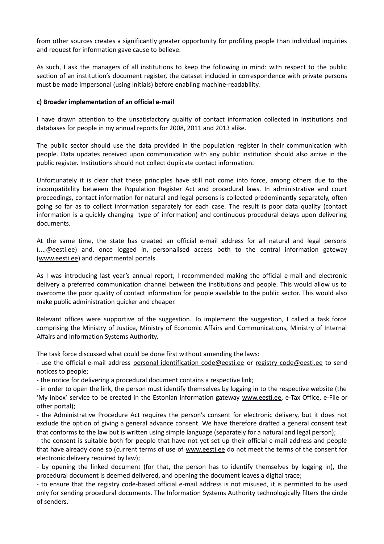from other sources creates a significantly greater opportunity for profiling people than individual inquiries and request for information gave cause to believe.

As such, I ask the managers of all institutions to keep the following in mind: with respect to the public section of an institution's document register, the dataset included in correspondence with private persons must be made impersonal (using initials) before enabling machine-readability.

# **c) Broader implementation of an official e-mail**

I have drawn attention to the unsatisfactory quality of contact information collected in institutions and databases for people in my annual reports for 2008, 2011 and 2013 alike.

The public sector should use the data provided in the population register in their communication with people. Data updates received upon communication with any public institution should also arrive in the public register. Institutions should not collect duplicate contact information.

Unfortunately it is clear that these principles have still not come into force, among others due to the incompatibility between the Population Register Act and procedural laws. In administrative and court proceedings, contact information for natural and legal persons is collected predominantly separately, often going so far as to collect information separately for each case. The result is poor data quality (contact information is a quickly changing type of information) and continuous procedural delays upon delivering documents.

At the same time, the state has created an official e-mail address for all natural and legal persons (....@eesti.ee) and, once logged in, personalised access both to the central information gateway [\(www.eesti.ee\)](http://www.eesti.ee/) and departmental portals.

As I was introducing last year's annual report, I recommended making the official e-mail and electronic delivery a preferred communication channel between the institutions and people. This would allow us to overcome the poor quality of contact information for people available to the public sector. This would also make public administration quicker and cheaper.

Relevant offices were supportive of the suggestion. To implement the suggestion, I called a task force comprising the Ministry of Justice, Ministry of Economic Affairs and Communications, Ministry of Internal Affairs and Information Systems Authority.

The task force discussed what could be done first without amending the laws:

- use the official e-mail address [personal identification code@eesti.ee](mailto:isikukood@eesti.ee) or registry code@eesti.ee to send notices to people;

- the notice for delivering a procedural document contains a respective link;

- in order to open the link, the person must identify themselves by logging in to the respective website (the 'My inbox' service to be created in the Estonian information gateway [www.eesti.ee,](http://www.eesti.ee/) e-Tax Office, e-File or other portal);

- the Administrative Procedure Act requires the person's consent for electronic delivery, but it does not exclude the option of giving a general advance consent. We have therefore drafted a general consent text that conforms to the law but is written using simple language (separately for a natural and legal person);

- the consent is suitable both for people that have not yet set up their official e-mail address and people that have already done so (current terms of use of [www.eesti.ee](http://www.eesti.ee/) do not meet the terms of the consent for electronic delivery required by law);

- by opening the linked document (for that, the person has to identify themselves by logging in), the procedural document is deemed delivered, and opening the document leaves a digital trace;

- to ensure that the registry code-based official e-mail address is not misused, it is permitted to be used only for sending procedural documents. The Information Systems Authority technologically filters the circle of senders.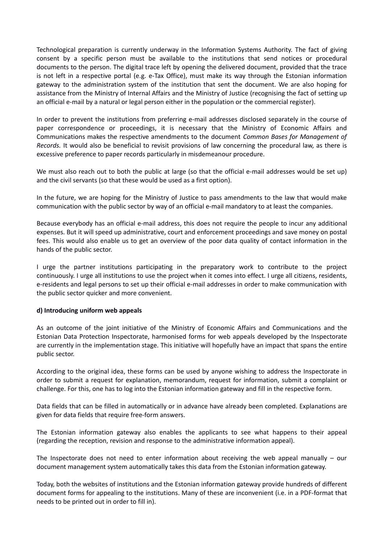Technological preparation is currently underway in the Information Systems Authority. The fact of giving consent by a specific person must be available to the institutions that send notices or procedural documents to the person. The digital trace left by opening the delivered document, provided that the trace is not left in a respective portal (e.g. e-Tax Office), must make its way through the Estonian information gateway to the administration system of the institution that sent the document. We are also hoping for assistance from the Ministry of Internal Affairs and the Ministry of Justice (recognising the fact of setting up an official e-mail by a natural or legal person either in the population or the commercial register).

In order to prevent the institutions from preferring e-mail addresses disclosed separately in the course of paper correspondence or proceedings, it is necessary that the Ministry of Economic Affairs and Communications makes the respective amendments to the document *Common Bases for Management of Records.* It would also be beneficial to revisit provisions of law concerning the procedural law, as there is excessive preference to paper records particularly in misdemeanour procedure.

We must also reach out to both the public at large (so that the official e-mail addresses would be set up) and the civil servants (so that these would be used as a first option).

In the future, we are hoping for the Ministry of Justice to pass amendments to the law that would make communication with the public sector by way of an official e-mail mandatory to at least the companies.

Because everybody has an official e-mail address, this does not require the people to incur any additional expenses. But it will speed up administrative, court and enforcement proceedings and save money on postal fees. This would also enable us to get an overview of the poor data quality of contact information in the hands of the public sector.

I urge the partner institutions participating in the preparatory work to contribute to the project continuously. I urge all institutions to use the project when it comes into effect. I urge all citizens, residents, e-residents and legal persons to set up their official e-mail addresses in order to make communication with the public sector quicker and more convenient.

### **d) Introducing uniform web appeals**

As an outcome of the joint initiative of the Ministry of Economic Affairs and Communications and the Estonian Data Protection Inspectorate, harmonised forms for web appeals developed by the Inspectorate are currently in the implementation stage. This initiative will hopefully have an impact that spans the entire public sector.

According to the original idea, these forms can be used by anyone wishing to address the Inspectorate in order to submit a request for explanation, memorandum, request for information, submit a complaint or challenge. For this, one has to log into the Estonian information gateway and fill in the respective form.

Data fields that can be filled in automatically or in advance have already been completed. Explanations are given for data fields that require free-form answers.

The Estonian information gateway also enables the applicants to see what happens to their appeal (regarding the reception, revision and response to the administrative information appeal).

The Inspectorate does not need to enter information about receiving the web appeal manually – our document management system automatically takes this data from the Estonian information gateway.

Today, both the websites of institutions and the Estonian information gateway provide hundreds of different document forms for appealing to the institutions. Many of these are inconvenient (i.e. in a PDF-format that needs to be printed out in order to fill in).